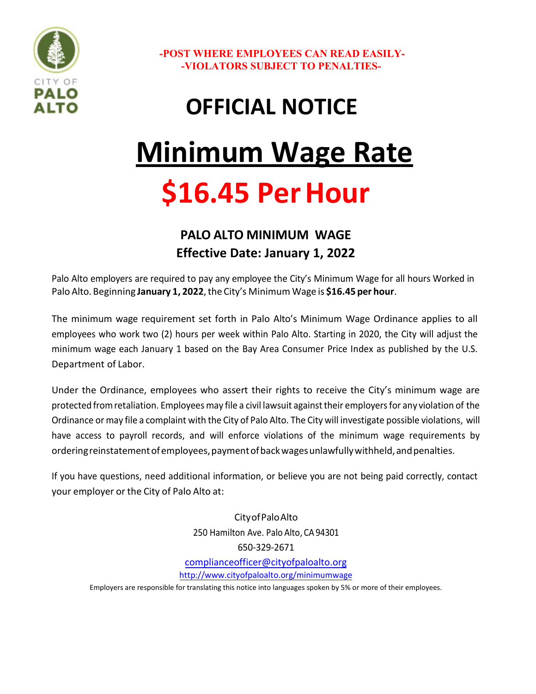

**-POST WHERE EMPLOYEES CAN READ EASILY- -VIOLATORS SUBJECT TO PENALTIES-**

## **OFFICIAL NOTICE**

# **Minimum Wage Rate \$16.45 Per Hour**

#### **PALO ALTO MINIMUM WAGE Effective Date: January 1, 2022**

Palo Alto employers are required to pay any employee the City's Minimum Wage for all hours Worked in Palo Alto. Beginning **January 1, 2022**, the City's Minimum Wage is **\$16.45 per hour**.

The minimum wage requirement set forth in Palo Alto's Minimum Wage Ordinance applies to all employees who work two (2) hours per week within Palo Alto. Starting in 2020, the City will adjust the minimum wage each January 1 based on the Bay Area Consumer Price Index as published by the U.S. Department of Labor.

Under the Ordinance, employees who assert their rights to receive the City's minimum wage are protected fromretaliation. Employees may file a civil lawsuit againsttheir employersfor any violation of the Ordinance or may file a complaint with the City of Palo Alto. The City will investigate possible violations, will have access to payroll records, and will enforce violations of the minimum wage requirements by orderingreinstatementofemployees, paymentofbackwagesunlawfullywithheld, andpenalties.

If you have questions, need additional information, or believe you are not being paid correctly, contact your employer or the City of Palo Alto at:

> CityofPaloAlto 250 Hamilton Ave. Palo Alto, CA 94301 650-329-2671 [complianceofficer@cityofpaloalto.org](mailto:complianceofficer@cityofpaloalto.org) <http://www.cityofpaloalto.org/minimumwage>

Employers are responsible for translating this notice into languages spoken by 5% or more of their employees.